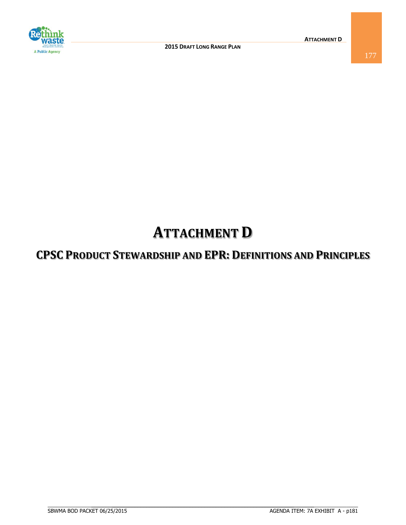

# **ATTACHMENT D**

# **CPSC PRODUCT STEWARDSHIP AND EPR: DEFINITIONS AND PRINCIPLES**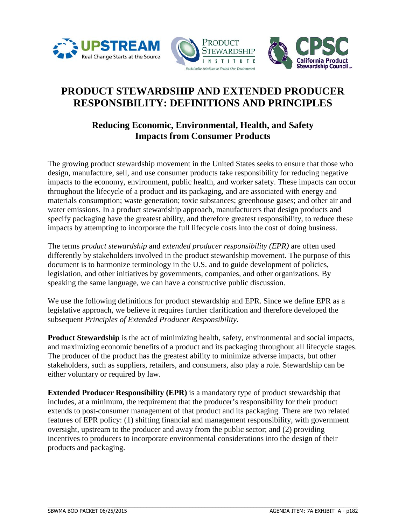





## **PRODUCT STEWARDSHIP AND EXTENDED PRODUCER RESPONSIBILITY: DEFINITIONS AND PRINCIPLES**

### **Reducing Economic, Environmental, Health, and Safety Impacts from Consumer Products**

The growing product stewardship movement in the United States seeks to ensure that those who design, manufacture, sell, and use consumer products take responsibility for reducing negative impacts to the economy, environment, public health, and worker safety. These impacts can occur throughout the lifecycle of a product and its packaging, and are associated with energy and materials consumption; waste generation; toxic substances; greenhouse gases; and other air and water emissions. In a product stewardship approach, manufacturers that design products and specify packaging have the greatest ability, and therefore greatest responsibility, to reduce these impacts by attempting to incorporate the full lifecycle costs into the cost of doing business.

The terms *product stewardship* and *extended producer responsibility (EPR)* are often used differently by stakeholders involved in the product stewardship movement. The purpose of this document is to harmonize terminology in the U.S. and to guide development of policies, legislation, and other initiatives by governments, companies, and other organizations. By speaking the same language, we can have a constructive public discussion.

We use the following definitions for product stewardship and EPR. Since we define EPR as a legislative approach, we believe it requires further clarification and therefore developed the subsequent *Principles of Extended Producer Responsibility*.

**Product Stewardship** is the act of minimizing health, safety, environmental and social impacts, and maximizing economic benefits of a product and its packaging throughout all lifecycle stages. The producer of the product has the greatest ability to minimize adverse impacts, but other stakeholders, such as suppliers, retailers, and consumers, also play a role. Stewardship can be either voluntary or required by law.

**Extended Producer Responsibility (EPR)** is a mandatory type of product stewardship that includes, at a minimum, the requirement that the producer's responsibility for their product extends to post-consumer management of that product and its packaging. There are two related features of EPR policy: (1) shifting financial and management responsibility, with government oversight, upstream to the producer and away from the public sector; and (2) providing incentives to producers to incorporate environmental considerations into the design of their products and packaging.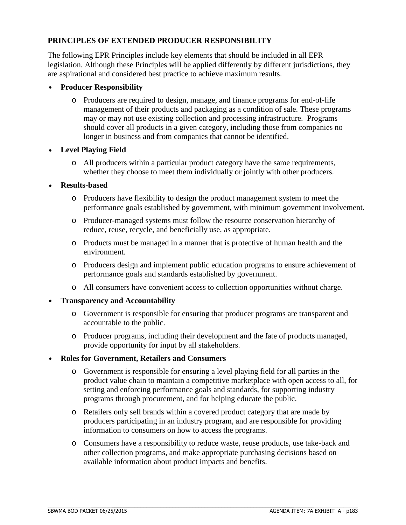#### **PRINCIPLES OF EXTENDED PRODUCER RESPONSIBILITY**

The following EPR Principles include key elements that should be included in all EPR legislation. Although these Principles will be applied differently by different jurisdictions, they are aspirational and considered best practice to achieve maximum results.

- **Producer Responsibility**
	- o Producers are required to design, manage, and finance programs for end-of-life management of their products and packaging as a condition of sale. These programs may or may not use existing collection and processing infrastructure. Programs should cover all products in a given category, including those from companies no longer in business and from companies that cannot be identified.
- **Level Playing Field** 
	- o All producers within a particular product category have the same requirements, whether they choose to meet them individually or jointly with other producers.
- **Results-based**
	- o Producers have flexibility to design the product management system to meet the performance goals established by government, with minimum government involvement.
	- o Producer-managed systems must follow the resource conservation hierarchy of reduce, reuse, recycle, and beneficially use, as appropriate.
	- o Products must be managed in a manner that is protective of human health and the environment.
	- o Producers design and implement public education programs to ensure achievement of performance goals and standards established by government.
	- o All consumers have convenient access to collection opportunities without charge.
- **Transparency and Accountability**
	- o Government is responsible for ensuring that producer programs are transparent and accountable to the public.
	- o Producer programs, including their development and the fate of products managed, provide opportunity for input by all stakeholders.
- **Roles for Government, Retailers and Consumers**
	- o Government is responsible for ensuring a level playing field for all parties in the product value chain to maintain a competitive marketplace with open access to all, for setting and enforcing performance goals and standards, for supporting industry programs through procurement, and for helping educate the public.
	- o Retailers only sell brands within a covered product category that are made by producers participating in an industry program, and are responsible for providing information to consumers on how to access the programs.
	- o Consumers have a responsibility to reduce waste, reuse products, use take-back and other collection programs, and make appropriate purchasing decisions based on available information about product impacts and benefits.

 $\_$  ,  $\_$  ,  $\_$  ,  $\_$  ,  $\_$  ,  $\_$  ,  $\_$  ,  $\_$  ,  $\_$  ,  $\_$  ,  $\_$  ,  $\_$  ,  $\_$  ,  $\_$  ,  $\_$  ,  $\_$  ,  $\_$  ,  $\_$  ,  $\_$  ,  $\_$  ,  $\_$  ,  $\_$  ,  $\_$  ,  $\_$  ,  $\_$  ,  $\_$  ,  $\_$  ,  $\_$  ,  $\_$  ,  $\_$  ,  $\_$  ,  $\_$  ,  $\_$  ,  $\_$  ,  $\_$  ,  $\_$  ,  $\_$  ,

 $\mathcal{L}_\mathcal{L} = \{ \mathcal{L}_\mathcal{L} = \{ \mathcal{L}_\mathcal{L} = \{ \mathcal{L}_\mathcal{L} = \{ \mathcal{L}_\mathcal{L} = \{ \mathcal{L}_\mathcal{L} = \{ \mathcal{L}_\mathcal{L} = \{ \mathcal{L}_\mathcal{L} = \{ \mathcal{L}_\mathcal{L} = \{ \mathcal{L}_\mathcal{L} = \{ \mathcal{L}_\mathcal{L} = \{ \mathcal{L}_\mathcal{L} = \{ \mathcal{L}_\mathcal{L} = \{ \mathcal{L}_\mathcal{L} = \{ \mathcal{L}_\mathcal{$